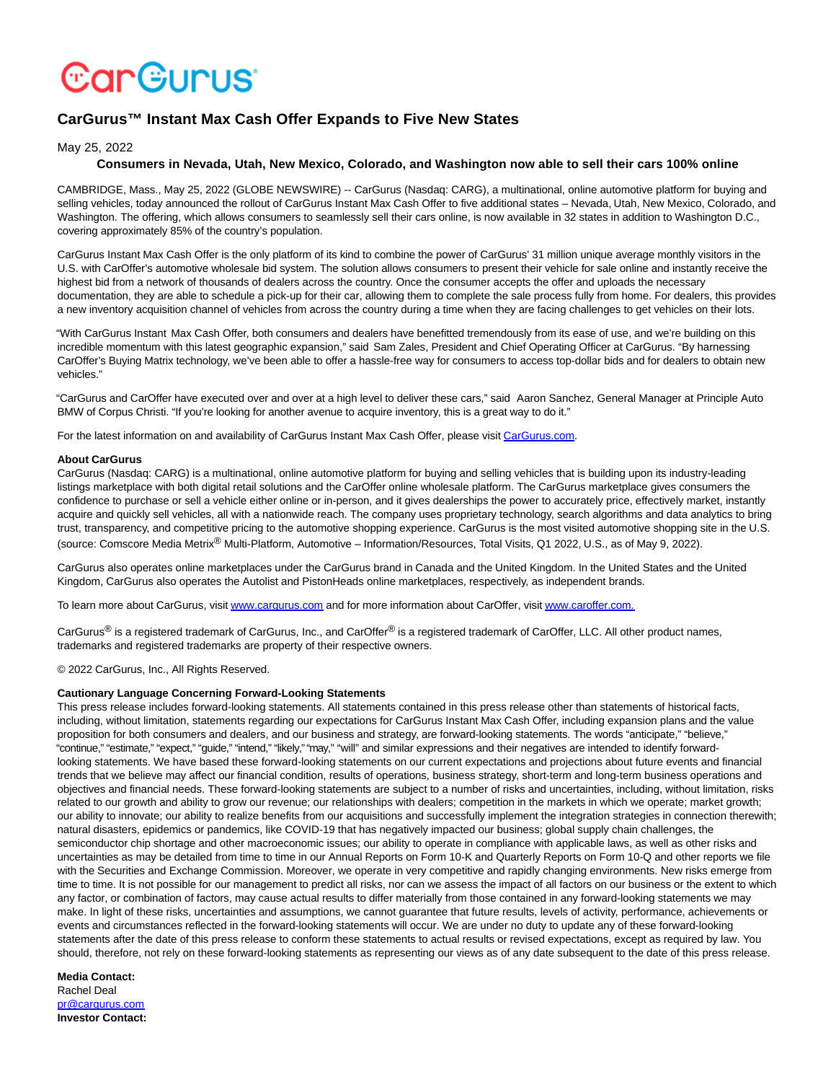# *CarGurus*

# **CarGurus™ Instant Max Cash Offer Expands to Five New States**

### May 25, 2022

## **Consumers in Nevada, Utah, New Mexico, Colorado, and Washington now able to sell their cars 100% online**

CAMBRIDGE, Mass., May 25, 2022 (GLOBE NEWSWIRE) -- CarGurus (Nasdaq: CARG), a multinational, online automotive platform for buying and selling vehicles, today announced the rollout of CarGurus Instant Max Cash Offer to five additional states – Nevada, Utah, New Mexico, Colorado, and Washington. The offering, which allows consumers to seamlessly sell their cars online, is now available in 32 states in addition to Washington D.C., covering approximately 85% of the country's population.

CarGurus Instant Max Cash Offer is the only platform of its kind to combine the power of CarGurus' 31 million unique average monthly visitors in the U.S. with CarOffer's automotive wholesale bid system. The solution allows consumers to present their vehicle for sale online and instantly receive the highest bid from a network of thousands of dealers across the country. Once the consumer accepts the offer and uploads the necessary documentation, they are able to schedule a pick-up for their car, allowing them to complete the sale process fully from home. For dealers, this provides a new inventory acquisition channel of vehicles from across the country during a time when they are facing challenges to get vehicles on their lots.

"With CarGurus Instant Max Cash Offer, both consumers and dealers have benefitted tremendously from its ease of use, and we're building on this incredible momentum with this latest geographic expansion," said Sam Zales, President and Chief Operating Officer at CarGurus. "By harnessing CarOffer's Buying Matrix technology, we've been able to offer a hassle-free way for consumers to access top-dollar bids and for dealers to obtain new vehicles."

"CarGurus and CarOffer have executed over and over at a high level to deliver these cars," said Aaron Sanchez, General Manager at Principle Auto BMW of Corpus Christi. "If you're looking for another avenue to acquire inventory, this is a great way to do it."

For the latest information on and availability of CarGurus Instant Max Cash Offer, please visit [CarGurus.com.](https://www.globenewswire.com/Tracker?data=7mfzCdLXy2_jIpEmA_SRKB69OHf9UuwEFN45n2mYj4w3uS2CnxcNmRUAG_h2eiN_BgAJ7i4Ve17q64NIbZqudw==)

#### **About CarGurus**

CarGurus (Nasdaq: CARG) is a multinational, online automotive platform for buying and selling vehicles that is building upon its industry-leading listings marketplace with both digital retail solutions and the CarOffer online wholesale platform. The CarGurus marketplace gives consumers the confidence to purchase or sell a vehicle either online or in-person, and it gives dealerships the power to accurately price, effectively market, instantly acquire and quickly sell vehicles, all with a nationwide reach. The company uses proprietary technology, search algorithms and data analytics to bring trust, transparency, and competitive pricing to the automotive shopping experience. CarGurus is the most visited automotive shopping site in the U.S. (source: Comscore Media Metrix® Multi-Platform, Automotive – Information/Resources, Total Visits, Q1 2022, U.S., as of May 9, 2022).

CarGurus also operates online marketplaces under the CarGurus brand in Canada and the United Kingdom. In the United States and the United Kingdom, CarGurus also operates the Autolist and PistonHeads online marketplaces, respectively, as independent brands.

To learn more about CarGurus, visi[t www.cargurus.com a](https://www.globenewswire.com/Tracker?data=UurutfE1Vl-kv2FLwRxZjt178oZIwDgC_rIZDikpzxHqm2XS5Upsn-uI4RC_LvofP-mJqmIcaOKWna9QsJq9Sg==)nd for more information about CarOffer, visi[t www.caroffer.com.](https://www.globenewswire.com/Tracker?data=UurutfE1Vl-kv2FLwRxZjlxHHrXKAoJcWEo7esQ33tms9vdxd8D2SbRRneeaxSdrOHJGiZxlUfK-n_futbxPMQ==)

CarGurus<sup>®</sup> is a registered trademark of CarGurus, Inc., and CarOffer® is a registered trademark of CarOffer, LLC. All other product names, trademarks and registered trademarks are property of their respective owners.

© 2022 CarGurus, Inc., All Rights Reserved.

#### **Cautionary Language Concerning Forward-Looking Statements**

This press release includes forward-looking statements. All statements contained in this press release other than statements of historical facts, including, without limitation, statements regarding our expectations for CarGurus Instant Max Cash Offer, including expansion plans and the value proposition for both consumers and dealers, and our business and strategy, are forward-looking statements. The words "anticipate," "believe," "continue," "estimate," "expect," "guide," "intend," "likely," "may," "will" and similar expressions and their negatives are intended to identify forwardlooking statements. We have based these forward-looking statements on our current expectations and projections about future events and financial trends that we believe may affect our financial condition, results of operations, business strategy, short-term and long-term business operations and objectives and financial needs. These forward-looking statements are subject to a number of risks and uncertainties, including, without limitation, risks related to our growth and ability to grow our revenue; our relationships with dealers; competition in the markets in which we operate; market growth; our ability to innovate; our ability to realize benefits from our acquisitions and successfully implement the integration strategies in connection therewith; natural disasters, epidemics or pandemics, like COVID-19 that has negatively impacted our business; global supply chain challenges, the semiconductor chip shortage and other macroeconomic issues; our ability to operate in compliance with applicable laws, as well as other risks and uncertainties as may be detailed from time to time in our Annual Reports on Form 10-K and Quarterly Reports on Form 10-Q and other reports we file with the Securities and Exchange Commission. Moreover, we operate in very competitive and rapidly changing environments. New risks emerge from time to time. It is not possible for our management to predict all risks, nor can we assess the impact of all factors on our business or the extent to which any factor, or combination of factors, may cause actual results to differ materially from those contained in any forward-looking statements we may make. In light of these risks, uncertainties and assumptions, we cannot guarantee that future results, levels of activity, performance, achievements or events and circumstances reflected in the forward-looking statements will occur. We are under no duty to update any of these forward-looking statements after the date of this press release to conform these statements to actual results or revised expectations, except as required by law. You should, therefore, not rely on these forward-looking statements as representing our views as of any date subsequent to the date of this press release.

**Media Contact:** Rachel Deal [pr@cargurus.com](https://www.globenewswire.com/Tracker?data=RSQazqzaTUiFQPJdINRug_x65m_6jIsiwiociu6lS6J46K4qI1_CshicTpTQybIhoftImOysgOPHWGDBMBmbMA==) **Investor Contact:**